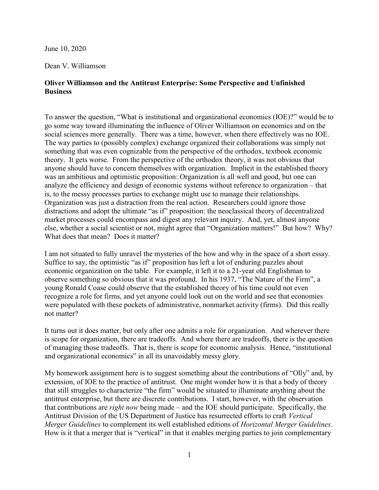June 10, 2020

Dean V. Williamson

## Oliver Williamson and the Antitrust Enterprise: Some Perspective and Unfinished **Business**

To answer the question, "What is institutional and organizational economics (IOE)?" would be to go some way toward illuminating the influence of Oliver Williamson on economics and on the social sciences more generally. There was a time, however, when there effectively was no IOE. The way parties to (possibly complex) exchange organized their collaborations was simply not something that was even cognizable from the perspective of the orthodox, textbook economic theory. It gets worse. From the perspective of the orthodox theory, it was not obvious that anyone should have to concern themselves with organization. Implicit in the established theory was an ambitious and optimistic proposition: Organization is all well and good, but one can analyze the efficiency and design of economic systems without reference to organization – that is, to the messy processes parties to exchange might use to manage their relationships. Organization was just a distraction from the real action. Researchers could ignore those distractions and adopt the ultimate "as if" proposition: the neoclassical theory of decentralized market processes could encompass and digest any relevant inquiry. And, yet, almost anyone else, whether a social scientist or not, might agree that "Organization matters!" But how? Why? What does that mean? Does it matter?

I am not situated to fully unravel the mysteries of the how and why in the space of a short essay. Suffice to say, the optimistic "as if" proposition has left a lot of enduring puzzles about economic organization on the table. For example, it left it to a 21-year old Englishman to observe something so obvious that it was profound. In his 1937, "The Nature of the Firm", a young Ronald Coase could observe that the established theory of his time could not even recognize a role for firms, and yet anyone could look out on the world and see that economies were populated with these pockets of administrative, nonmarket activity (firms). Did this really not matter?

It turns out it does matter, but only after one admits a role for organization. And wherever there is scope for organization, there are tradeoffs. And where there are tradeoffs, there is the question of managing those tradeoffs. That is, there is scope for economic analysis. Hence, "institutional and organizational economics" in all its unavoidably messy glory.

My homework assignment here is to suggest something about the contributions of "Olly" and, by extension, of IOE to the practice of antitrust. One might wonder how it is that a body of theory that still struggles to characterize "the firm" would be situated to illuminate anything about the antitrust enterprise, but there are discrete contributions. I start, however, with the observation that contributions are right now being made – and the IOE should participate. Specifically, the Antitrust Division of the US Department of Justice has resurrected efforts to craft Vertical Merger Guidelines to complement its well established editions of Horizontal Merger Guidelines. How is it that a merger that is "vertical" in that it enables merging parties to join complementary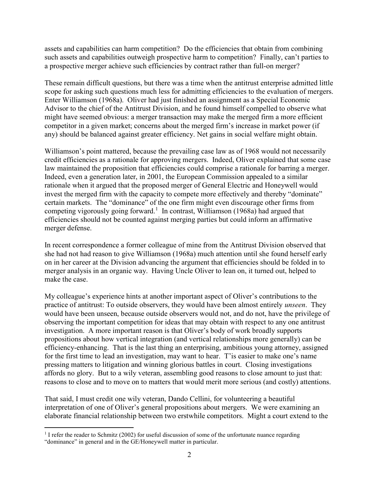assets and capabilities can harm competition? Do the efficiencies that obtain from combining such assets and capabilities outweigh prospective harm to competition? Finally, can't parties to a prospective merger achieve such efficiencies by contract rather than full-on merger?

These remain difficult questions, but there was a time when the antitrust enterprise admitted little scope for asking such questions much less for admitting efficiencies to the evaluation of mergers. Enter Williamson (1968a). Oliver had just finished an assignment as a Special Economic Advisor to the chief of the Antitrust Division, and he found himself compelled to observe what might have seemed obvious: a merger transaction may make the merged firm a more efficient competitor in a given market; concerns about the merged firm's increase in market power (if any) should be balanced against greater efficiency. Net gains in social welfare might obtain.

Williamson's point mattered, because the prevailing case law as of 1968 would not necessarily credit efficiencies as a rationale for approving mergers. Indeed, Oliver explained that some case law maintained the proposition that efficiencies could comprise a rationale for barring a merger. Indeed, even a generation later, in 2001, the European Commission appealed to a similar rationale when it argued that the proposed merger of General Electric and Honeywell would invest the merged firm with the capacity to compete more effectively and thereby "dominate" certain markets. The "dominance" of the one firm might even discourage other firms from competing vigorously going forward.<sup>1</sup> In contrast, Williamson (1968a) had argued that efficiencies should not be counted against merging parties but could inform an affirmative merger defense.

In recent correspondence a former colleague of mine from the Antitrust Division observed that she had not had reason to give Williamson (1968a) much attention until she found herself early on in her career at the Division advancing the argument that efficiencies should be folded in to merger analysis in an organic way. Having Uncle Oliver to lean on, it turned out, helped to make the case.

My colleague's experience hints at another important aspect of Oliver's contributions to the practice of antitrust: To outside observers, they would have been almost entirely unseen. They would have been unseen, because outside observers would not, and do not, have the privilege of observing the important competition for ideas that may obtain with respect to any one antitrust investigation. A more important reason is that Oliver's body of work broadly supports propositions about how vertical integration (and vertical relationships more generally) can be efficiency-enhancing. That is the last thing an enterprising, ambitious young attorney, assigned for the first time to lead an investigation, may want to hear. T'is easier to make one's name pressing matters to litigation and winning glorious battles in court. Closing investigations affords no glory. But to a wily veteran, assembling good reasons to close amount to just that: reasons to close and to move on to matters that would merit more serious (and costly) attentions.

That said, I must credit one wily veteran, Dando Cellini, for volunteering a beautiful interpretation of one of Oliver's general propositions about mergers. We were examining an elaborate financial relationship between two erstwhile competitors. Might a court extend to the

 $\overline{a}$ <sup>1</sup> I refer the reader to Schmitz (2002) for useful discussion of some of the unfortunate nuance regarding "dominance" in general and in the GE/Honeywell matter in particular.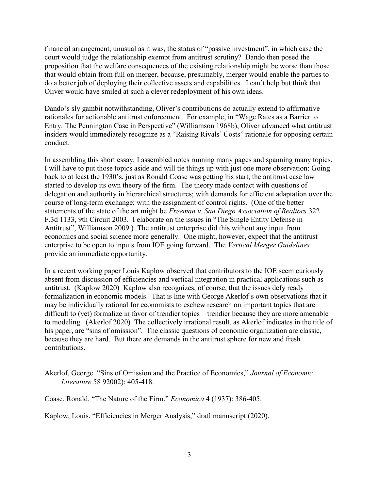financial arrangement, unusual as it was, the status of "passive investment", in which case the court would judge the relationship exempt from antitrust scrutiny? Dando then posed the proposition that the welfare consequences of the existing relationship might be worse than those that would obtain from full on merger, because, presumably, merger would enable the parties to do a better job of deploying their collective assets and capabilities. I can't help but think that Oliver would have smiled at such a clever redeployment of his own ideas.

Dando's sly gambit notwithstanding, Oliver's contributions do actually extend to affirmative rationales for actionable antitrust enforcement. For example, in "Wage Rates as a Barrier to Entry: The Pennington Case in Perspective" (Williamson 1968b), Oliver advanced what antitrust insiders would immediately recognize as a "Raising Rivals' Costs" rationale for opposing certain conduct.

In assembling this short essay, I assembled notes running many pages and spanning many topics. I will have to put those topics aside and will tie things up with just one more observation: Going back to at least the 1930's, just as Ronald Coase was getting his start, the antitrust case law started to develop its own theory of the firm. The theory made contact with questions of delegation and authority in hierarchical structures; with demands for efficient adaptation over the course of long-term exchange; with the assignment of control rights. (One of the better statements of the state of the art might be Freeman v. San Diego Association of Realtors 322 F.3d 1133, 9th Circuit 2003. I elaborate on the issues in "The Single Entity Defense in Antitrust", Williamson 2009.) The antitrust enterprise did this without any input from economics and social science more generally. One might, however, expect that the antitrust enterprise to be open to inputs from IOE going forward. The Vertical Merger Guidelines provide an immediate opportunity.

In a recent working paper Louis Kaplow observed that contributors to the IOE seem curiously absent from discussion of efficiencies and vertical integration in practical applications such as antitrust. (Kaplow 2020) Kaplow also recognizes, of course, that the issues defy ready formalization in economic models. That is line with George Akerlof's own observations that it may be individually rational for economists to eschew research on important topics that are difficult to (yet) formalize in favor of trendier topics – trendier because they are more amenable to modeling. (Akerlof 2020) The collectively irrational result, as Akerlof indicates in the title of his paper, are "sins of omission". The classic questions of economic organization are classic, because they are hard. But there are demands in the antitrust sphere for new and fresh contributions.

Akerlof, George. "Sins of Omission and the Practice of Economics," Journal of Economic Literature 58 92002): 405-418.

Coase, Ronald. "The Nature of the Firm," Economica 4 (1937): 386-405.

Kaplow, Louis. "Efficiencies in Merger Analysis," draft manuscript (2020).